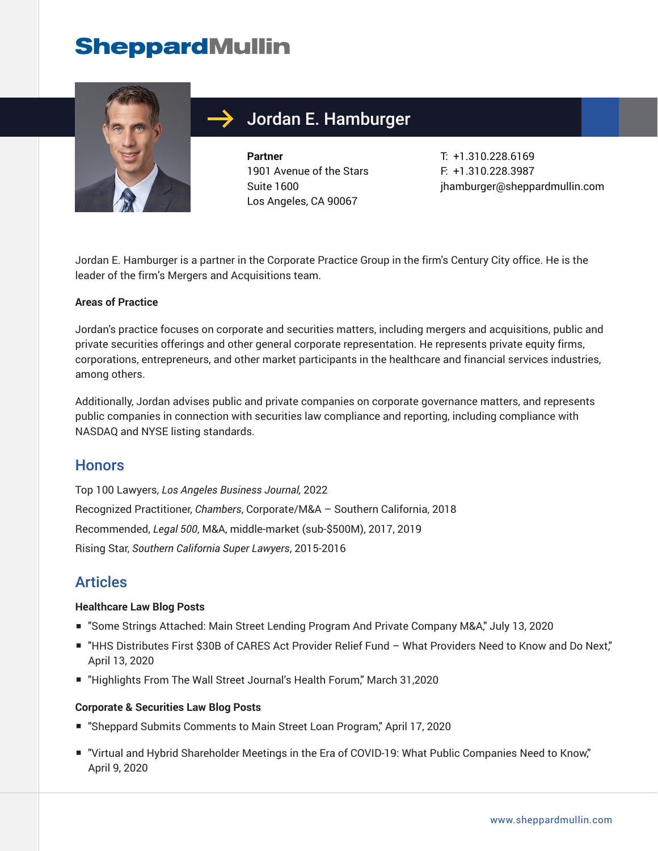## **SheppardMullin**



## Jordan E. Hamburger

**Partner** 1901 Avenue of the Stars Suite 1600 Los Angeles, CA 90067

T: +1.310.228.6169 F: +1.310.228.3987 jhamburger@sheppardmullin.com

Jordan E. Hamburger is a partner in the Corporate Practice Group in the firm's Century City office. He is the leader of the firm's Mergers and Acquisitions team.

#### **Areas of Practice**

Jordan's practice focuses on corporate and securities matters, including mergers and acquisitions, public and private securities offerings and other general corporate representation. He represents private equity firms, corporations, entrepreneurs, and other market participants in the healthcare and financial services industries, among others.

Additionally, Jordan advises public and private companies on corporate governance matters, and represents public companies in connection with securities law compliance and reporting, including compliance with NASDAQ and NYSE listing standards.

#### Honors

Top 100 Lawyers, *Los Angeles Business Journal,* 2022 Recognized Practitioner, *Chambers*, Corporate/M&A – Southern California, 2018 Recommended, *Legal 500*, M&A, middle-market (sub-\$500M), 2017, 2019 Rising Star, *Southern California Super Lawyers*, 2015-2016

#### Articles

#### **Healthcare Law Blog Posts**

- "Some Strings Attached: Main Street Lending Program And Private Company M&A," July 13, 2020
- "HHS Distributes First \$30B of CARES Act Provider Relief Fund What Providers Need to Know and Do Next," April 13, 2020
- "Highlights From The Wall Street Journal's Health Forum," March 31,2020

#### **Corporate & Securities Law Blog Posts**

- "Sheppard Submits Comments to Main Street Loan Program," April 17, 2020
- "Virtual and Hybrid Shareholder Meetings in the Era of COVID-19: What Public Companies Need to Know," April 9, 2020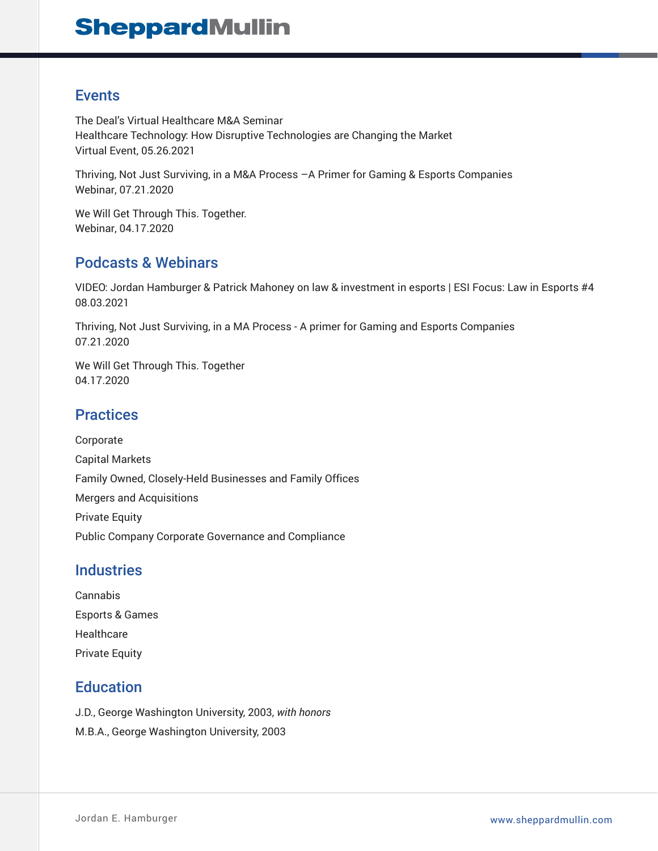## **SheppardMullin**

#### Events

The Deal's Virtual Healthcare M&A Seminar Healthcare Technology: How Disruptive Technologies are Changing the Market Virtual Event, 05.26.2021

Thriving, Not Just Surviving, in a M&A Process –A Primer for Gaming & Esports Companies Webinar, 07.21.2020

We Will Get Through This. Together. Webinar, 04.17.2020

#### Podcasts & Webinars

VIDEO: Jordan Hamburger & Patrick Mahoney on law & investment in esports | ESI Focus: Law in Esports #4 08.03.2021

Thriving, Not Just Surviving, in a MA Process - A primer for Gaming and Esports Companies 07.21.2020

We Will Get Through This. Together 04.17.2020

### **Practices**

Corporate Capital Markets Family Owned, Closely-Held Businesses and Family Offices Mergers and Acquisitions Private Equity Public Company Corporate Governance and Compliance

#### **Industries**

Cannabis Esports & Games **Healthcare** Private Equity

### **Education**

J.D., George Washington University, 2003, *with honors* M.B.A., George Washington University, 2003